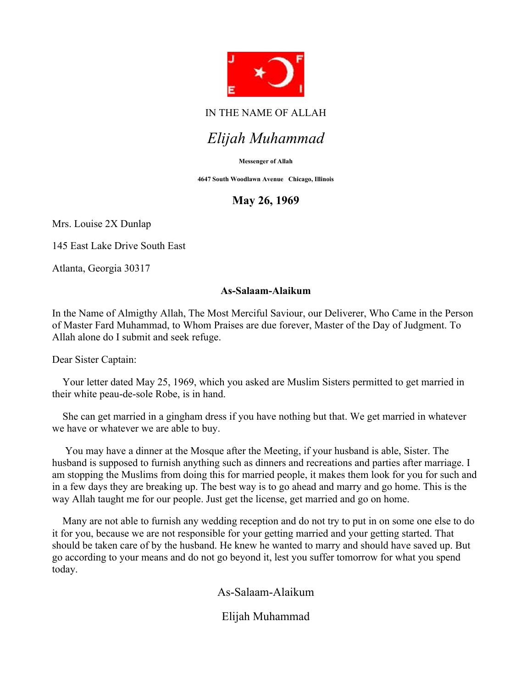

## IN THE NAME OF ALLAH

# Elijah Muhammad

#### Messenger of Allah

4647 South Woodlawn Avenue Chicago, Illinois

## May 26, 1969

Mrs. Louise 2X Dunlap

145 East Lake Drive South East

Atlanta, Georgia 30317

### As-Salaam-Alaikum

In the Name of Almigthy Allah, The Most Merciful Saviour, our Deliverer, Who Came in the Person of Master Fard Muhammad, to Whom Praises are due forever, Master of the Day of Judgment. To Allah alone do I submit and seek refuge.

Dear Sister Captain:

 Your letter dated May 25, 1969, which you asked are Muslim Sisters permitted to get married in their white peau-de-sole Robe, is in hand.

 She can get married in a gingham dress if you have nothing but that. We get married in whatever we have or whatever we are able to buy.

 You may have a dinner at the Mosque after the Meeting, if your husband is able, Sister. The husband is supposed to furnish anything such as dinners and recreations and parties after marriage. I am stopping the Muslims from doing this for married people, it makes them look for you for such and in a few days they are breaking up. The best way is to go ahead and marry and go home. This is the way Allah taught me for our people. Just get the license, get married and go on home.

 Many are not able to furnish any wedding reception and do not try to put in on some one else to do it for you, because we are not responsible for your getting married and your getting started. That should be taken care of by the husband. He knew he wanted to marry and should have saved up. But go according to your means and do not go beyond it, lest you suffer tomorrow for what you spend today.

As-Salaam-Alaikum

Elijah Muhammad